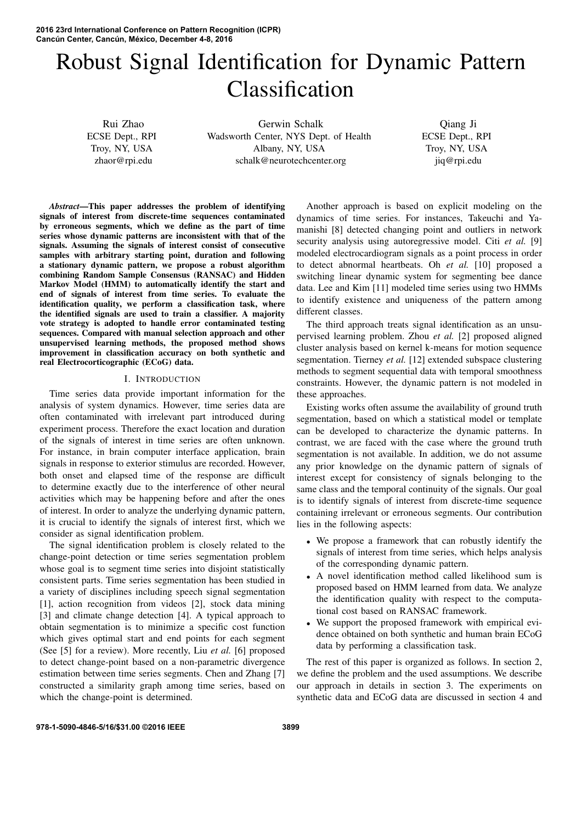# Robust Signal Identification for Dynamic Pattern Classification

Rui Zhao ECSE Dept., RPI Troy, NY, USA zhaor@rpi.edu

Gerwin Schalk Wadsworth Center, NYS Dept. of Health Albany, NY, USA schalk@neurotechcenter.org

Qiang Ji ECSE Dept., RPI Troy, NY, USA jiq@rpi.edu

*Abstract*—This paper addresses the problem of identifying signals of interest from discrete-time sequences contaminated by erroneous segments, which we define as the part of time series whose dynamic patterns are inconsistent with that of the signals. Assuming the signals of interest consist of consecutive samples with arbitrary starting point, duration and following a stationary dynamic pattern, we propose a robust algorithm combining Random Sample Consensus (RANSAC) and Hidden Markov Model (HMM) to automatically identify the start and end of signals of interest from time series. To evaluate the identification quality, we perform a classification task, where the identified signals are used to train a classifier. A majority vote strategy is adopted to handle error contaminated testing sequences. Compared with manual selection approach and other unsupervised learning methods, the proposed method shows improvement in classification accuracy on both synthetic and real Electrocorticographic (ECoG) data.

## I. INTRODUCTION

Time series data provide important information for the analysis of system dynamics. However, time series data are often contaminated with irrelevant part introduced during experiment process. Therefore the exact location and duration of the signals of interest in time series are often unknown. For instance, in brain computer interface application, brain signals in response to exterior stimulus are recorded. However, both onset and elapsed time of the response are difficult to determine exactly due to the interference of other neural activities which may be happening before and after the ones of interest. In order to analyze the underlying dynamic pattern, it is crucial to identify the signals of interest first, which we consider as signal identification problem.

The signal identification problem is closely related to the change-point detection or time series segmentation problem whose goal is to segment time series into disjoint statistically consistent parts. Time series segmentation has been studied in a variety of disciplines including speech signal segmentation [1], action recognition from videos [2], stock data mining [3] and climate change detection [4]. A typical approach to obtain segmentation is to minimize a specific cost function which gives optimal start and end points for each segment (See [5] for a review). More recently, Liu *et al.* [6] proposed to detect change-point based on a non-parametric divergence estimation between time series segments. Chen and Zhang [7] constructed a similarity graph among time series, based on which the change-point is determined.

Another approach is based on explicit modeling on the dynamics of time series. For instances, Takeuchi and Yamanishi [8] detected changing point and outliers in network security analysis using autoregressive model. Citi *et al.* [9] modeled electrocardiogram signals as a point process in order to detect abnormal heartbeats. Oh *et al.* [10] proposed a switching linear dynamic system for segmenting bee dance data. Lee and Kim [11] modeled time series using two HMMs to identify existence and uniqueness of the pattern among different classes.

The third approach treats signal identification as an unsupervised learning problem. Zhou *et al.* [2] proposed aligned cluster analysis based on kernel k-means for motion sequence segmentation. Tierney *et al.* [12] extended subspace clustering methods to segment sequential data with temporal smoothness constraints. However, the dynamic pattern is not modeled in these approaches.

Existing works often assume the availability of ground truth segmentation, based on which a statistical model or template can be developed to characterize the dynamic patterns. In contrast, we are faced with the case where the ground truth segmentation is not available. In addition, we do not assume any prior knowledge on the dynamic pattern of signals of interest except for consistency of signals belonging to the same class and the temporal continuity of the signals. Our goal is to identify signals of interest from discrete-time sequence containing irrelevant or erroneous segments. Our contribution lies in the following aspects:

- We propose a framework that can robustly identify the signals of interest from time series, which helps analysis of the corresponding dynamic pattern.
- A novel identification method called likelihood sum is proposed based on HMM learned from data. We analyze the identification quality with respect to the computational cost based on RANSAC framework.
- We support the proposed framework with empirical evidence obtained on both synthetic and human brain ECoG data by performing a classification task.

The rest of this paper is organized as follows. In section 2, we define the problem and the used assumptions. We describe our approach in details in section 3. The experiments on synthetic data and ECoG data are discussed in section 4 and

#### **978-1-5090-4846-5/16/\$31.00 ©2016 IEEE 3899**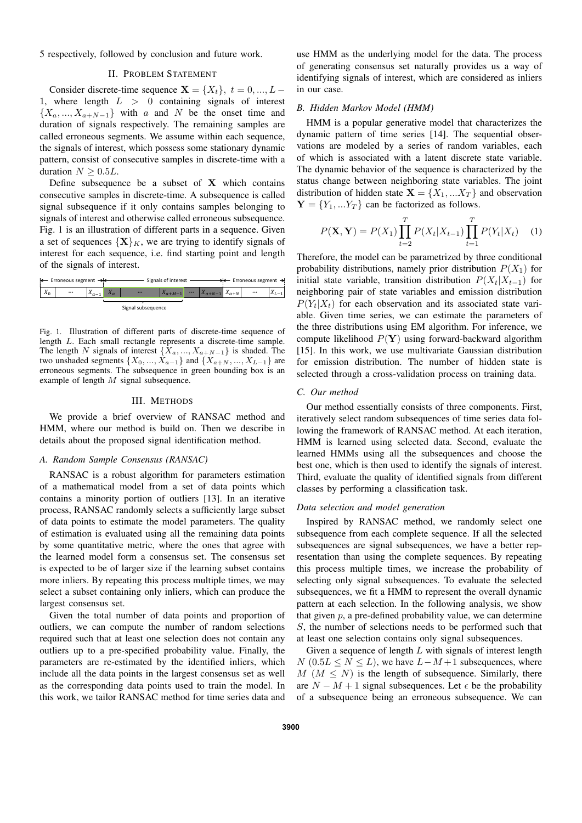5 respectively, followed by conclusion and future work.

# II. PROBLEM STATEMENT

Consider discrete-time sequence  $\mathbf{X} = \{X_t\}, t = 0, ..., L$  – 1, where length  $L > 0$  containing signals of interest  ${X_a, ..., X_{a+N-1}}$  with a and N be the onset time and duration of signals respectively. The remaining samples are called erroneous segments. We assume within each sequence, the signals of interest, which possess some stationary dynamic pattern, consist of consecutive samples in discrete-time with a duration  $N \geq 0.5L$ .

Define subsequence be a subset of  $X$  which contains consecutive samples in discrete-time. A subsequence is called signal subsequence if it only contains samples belonging to signals of interest and otherwise called erroneous subsequence. Fig. 1 is an illustration of different parts in a sequence. Given a set of sequences  ${X}_K$ , we are trying to identify signals of interest for each sequence, i.e. find starting point and length of the signals of interest.

| <del>←</del> Erroneous segment |                    |           | Signals of interest |          |                   |                         | → Erroneous segment → |  |          |  |
|--------------------------------|--------------------|-----------|---------------------|----------|-------------------|-------------------------|-----------------------|--|----------|--|
| v<br>$\Lambda_0$               | $\cdots$           | $A_{a-1}$ | $\Lambda_{\alpha}$  | $\cdots$ | $\Lambda_{a+M-1}$ | $\bullet\bullet\bullet$ | $X_{a+N-1}$ $X_{a+N}$ |  | $\cdots$ |  |
|                                |                    |           |                     |          |                   |                         |                       |  |          |  |
|                                | Signal subsequence |           |                     |          |                   |                         |                       |  |          |  |

Fig. 1. Illustration of different parts of discrete-time sequence of length L. Each small rectangle represents a discrete-time sample. The length N signals of interest  $\{X_a, ..., X_{a+N-1}\}\$ is shaded. The two unshaded segments  $\{X_0, ..., X_{a-1}\}$  and  $\{X_{a+N}, ..., X_{L-1}\}$  are erroneous segments. The subsequence in green bounding box is an example of length M signal subsequence.

# III. METHODS

We provide a brief overview of RANSAC method and HMM, where our method is build on. Then we describe in details about the proposed signal identification method.

## *A. Random Sample Consensus (RANSAC)*

RANSAC is a robust algorithm for parameters estimation of a mathematical model from a set of data points which contains a minority portion of outliers [13]. In an iterative process, RANSAC randomly selects a sufficiently large subset of data points to estimate the model parameters. The quality of estimation is evaluated using all the remaining data points by some quantitative metric, where the ones that agree with the learned model form a consensus set. The consensus set is expected to be of larger size if the learning subset contains more inliers. By repeating this process multiple times, we may select a subset containing only inliers, which can produce the largest consensus set.

Given the total number of data points and proportion of outliers, we can compute the number of random selections required such that at least one selection does not contain any outliers up to a pre-specified probability value. Finally, the parameters are re-estimated by the identified inliers, which include all the data points in the largest consensus set as well as the corresponding data points used to train the model. In this work, we tailor RANSAC method for time series data and

use HMM as the underlying model for the data. The process of generating consensus set naturally provides us a way of identifying signals of interest, which are considered as inliers in our case.

# *B. Hidden Markov Model (HMM)*

HMM is a popular generative model that characterizes the dynamic pattern of time series [14]. The sequential observations are modeled by a series of random variables, each of which is associated with a latent discrete state variable. The dynamic behavior of the sequence is characterized by the status change between neighboring state variables. The joint distribution of hidden state  $X = \{X_1, \dots X_T\}$  and observation  $Y = \{Y_1, \ldots Y_T\}$  can be factorized as follows.

$$
P(\mathbf{X}, \mathbf{Y}) = P(X_1) \prod_{t=2}^{T} P(X_t | X_{t-1}) \prod_{t=1}^{T} P(Y_t | X_t)
$$
 (1)

Therefore, the model can be parametrized by three conditional probability distributions, namely prior distribution  $P(X_1)$  for initial state variable, transition distribution  $P(X_t|X_{t-1})$  for neighboring pair of state variables and emission distribution  $P(Y_t|X_t)$  for each observation and its associated state variable. Given time series, we can estimate the parameters of the three distributions using EM algorithm. For inference, we compute likelihood  $P(Y)$  using forward-backward algorithm [15]. In this work, we use multivariate Gaussian distribution for emission distribution. The number of hidden state is selected through a cross-validation process on training data.

# *C. Our method*

Our method essentially consists of three components. First, iteratively select random subsequences of time series data following the framework of RANSAC method. At each iteration, HMM is learned using selected data. Second, evaluate the learned HMMs using all the subsequences and choose the best one, which is then used to identify the signals of interest. Third, evaluate the quality of identified signals from different classes by performing a classification task.

## *Data selection and model generation*

Inspired by RANSAC method, we randomly select one subsequence from each complete sequence. If all the selected subsequences are signal subsequences, we have a better representation than using the complete sequences. By repeating this process multiple times, we increase the probability of selecting only signal subsequences. To evaluate the selected subsequences, we fit a HMM to represent the overall dynamic pattern at each selection. In the following analysis, we show that given  $p$ , a pre-defined probability value, we can determine S, the number of selections needs to be performed such that at least one selection contains only signal subsequences.

Given a sequence of length  $L$  with signals of interest length  $N (0.5L \le N \le L)$ , we have  $L-M+1$  subsequences, where  $M$  ( $M \leq N$ ) is the length of subsequence. Similarly, there are  $N - M + 1$  signal subsequences. Let  $\epsilon$  be the probability of a subsequence being an erroneous subsequence. We can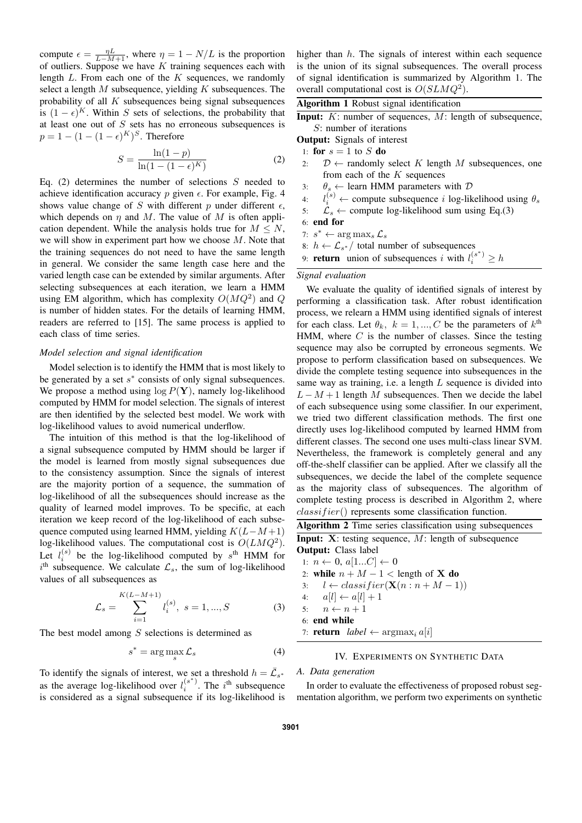compute  $\epsilon = \frac{\eta L}{L - M + 1}$ , where  $\eta = 1 - N/L$  is the proportion of outliers. Suppose we have  $K$  training sequences each with length  $L$ . From each one of the  $K$  sequences, we randomly select a length  $M$  subsequence, yielding  $K$  subsequences. The probability of all  $K$  subsequences being signal subsequences is  $(1 - \epsilon)^K$ . Within S sets of selections, the probability that at least one out of S sets has no erroneous subsequences is  $p = 1 - (1 - (1 - \epsilon)^K)^S$ . Therefore

$$
S = \frac{\ln(1 - p)}{\ln(1 - (1 - \epsilon)^K)}
$$
 (2)

Eq. (2) determines the number of selections  $S$  needed to achieve identification accuracy p given  $\epsilon$ . For example, Fig. 4 shows value change of S with different p under different  $\epsilon$ , which depends on  $\eta$  and M. The value of M is often application dependent. While the analysis holds true for  $M \leq N$ , we will show in experiment part how we choose  $M$ . Note that the training sequences do not need to have the same length in general. We consider the same length case here and the varied length case can be extended by similar arguments. After selecting subsequences at each iteration, we learn a HMM using EM algorithm, which has complexity  $O(MQ^2)$  and  $Q$ is number of hidden states. For the details of learning HMM, readers are referred to [15]. The same process is applied to each class of time series.

### *Model selection and signal identification*

Model selection is to identify the HMM that is most likely to be generated by a set  $s^*$  consists of only signal subsequences. We propose a method using  $\log P(Y)$ , namely log-likelihood computed by HMM for model selection. The signals of interest are then identified by the selected best model. We work with log-likelihood values to avoid numerical underflow.

The intuition of this method is that the log-likelihood of a signal subsequence computed by HMM should be larger if the model is learned from mostly signal subsequences due to the consistency assumption. Since the signals of interest are the majority portion of a sequence, the summation of log-likelihood of all the subsequences should increase as the quality of learned model improves. To be specific, at each iteration we keep record of the log-likelihood of each subsequence computed using learned HMM, yielding  $K(L-M+1)$ log-likelihood values. The computational cost is  $O(LMQ^2)$ . Let  $l_i^{(s)}$  be the log-likelihood computed by  $s^{\text{th}}$  HMM for  $i<sup>th</sup>$  subsequence. We calculate  $\mathcal{L}_s$ , the sum of log-likelihood values of all subsequences as

$$
\mathcal{L}_s = \sum_{i=1}^{K(L-M+1)} l_i^{(s)}, \ s = 1, ..., S \tag{3}
$$

The best model among  $S$  selections is determined as

$$
s^* = \arg\max_s \mathcal{L}_s \tag{4}
$$

To identify the signals of interest, we set a threshold  $h = \overline{\mathcal{L}}_{s^*}$ as the average log-likelihood over  $l_i^{(s^*)}$ . The  $i^{\text{th}}$  subsequence is considered as a signal subsequence if its log-likelihood is

higher than h. The signals of interest within each sequence is the union of its signal subsequences. The overall process of signal identification is summarized by Algorithm 1. The overall computational cost is  $O(SLMQ^2)$ .

Algorithm 1 Robust signal identification

**Input:**  $K$ : number of sequences,  $M$ : length of subsequence, S: number of iterations

Output: Signals of interest

- 1: for  $s = 1$  to S do
- 2:  $\mathcal{D} \leftarrow$  randomly select K length M subsequences, one from each of the  $K$  sequences
- 3:  $\theta_s \leftarrow$  learn HMM parameters with  $\mathcal{D}$
- $4:$  $i_i^{(s)} \leftarrow$  compute subsequence *i* log-likelihood using  $\theta_s$

5:  $\mathcal{L}_s \leftarrow$  compute log-likelihood sum using Eq.(3)

6: end for

7:  $s^* \leftarrow \arg \max_s \mathcal{L}_s$ 

8:  $h \leftarrow \mathcal{L}_{s^*}/$  total number of subsequences

9: return union of subsequences 
$$
i
$$
 with  $l_i^{(s^*)} \geq h$ 

# *Signal evaluation*

We evaluate the quality of identified signals of interest by performing a classification task. After robust identification process, we relearn a HMM using identified signals of interest for each class. Let  $\theta_k$ ,  $k = 1, ..., C$  be the parameters of  $k^{\text{th}}$ HMM, where  $C$  is the number of classes. Since the testing sequence may also be corrupted by erroneous segments. We propose to perform classification based on subsequences. We divide the complete testing sequence into subsequences in the same way as training, i.e. a length  $L$  sequence is divided into  $L-M+1$  length M subsequences. Then we decide the label of each subsequence using some classifier. In our experiment, we tried two different classification methods. The first one directly uses log-likelihood computed by learned HMM from different classes. The second one uses multi-class linear SVM. Nevertheless, the framework is completely general and any off-the-shelf classifier can be applied. After we classify all the subsequences, we decide the label of the complete sequence as the majority class of subsequences. The algorithm of complete testing process is described in Algorithm 2, where  $classifier()$  represents some classification function.

Algorithm 2 Time series classification using subsequences

**Input:**  $X$ : testing sequence,  $M$ : length of subsequence Output: Class label 1:  $n \leftarrow 0, a[1...C] \leftarrow 0$ 2: while  $n + M - 1 <$  length of **X** do 3:  $l \leftarrow classifier(\mathbf{X}(n:n+M-1))$ 4:  $a[l] \leftarrow a[l] + 1$ 5:  $n \leftarrow n + 1$ 6: end while 7: **return**  $label \leftarrow \argmax_i a[i]$ 

# IV. EXPERIMENTS ON SYNTHETIC DATA

## *A. Data generation*

In order to evaluate the effectiveness of proposed robust segmentation algorithm, we perform two experiments on synthetic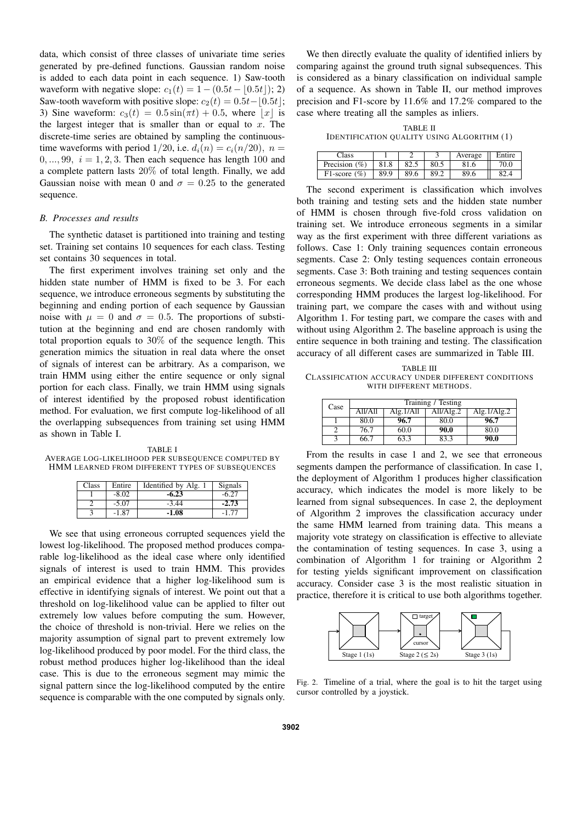data, which consist of three classes of univariate time series generated by pre-defined functions. Gaussian random noise is added to each data point in each sequence. 1) Saw-tooth waveform with negative slope:  $c_1(t) = 1 - (0.5t - |0.5t|);$  2) Saw-tooth waveform with positive slope:  $c_2(t) = 0.5t-\vert 0.5t\vert$ ; 3) Sine waveform:  $c_3(t) = 0.5 \sin(\pi t) + 0.5$ , where |x| is the largest integer that is smaller than or equal to  $x$ . The discrete-time series are obtained by sampling the continuoustime waveforms with period  $1/20$ , i.e.  $d_i(n) = c_i(n/20)$ ,  $n =$  $0, ..., 99, i = 1, 2, 3$ . Then each sequence has length 100 and a complete pattern lasts 20% of total length. Finally, we add Gaussian noise with mean 0 and  $\sigma = 0.25$  to the generated sequence.

## *B. Processes and results*

The synthetic dataset is partitioned into training and testing set. Training set contains 10 sequences for each class. Testing set contains 30 sequences in total.

The first experiment involves training set only and the hidden state number of HMM is fixed to be 3. For each sequence, we introduce erroneous segments by substituting the beginning and ending portion of each sequence by Gaussian noise with  $\mu = 0$  and  $\sigma = 0.5$ . The proportions of substitution at the beginning and end are chosen randomly with total proportion equals to 30% of the sequence length. This generation mimics the situation in real data where the onset of signals of interest can be arbitrary. As a comparison, we train HMM using either the entire sequence or only signal portion for each class. Finally, we train HMM using signals of interest identified by the proposed robust identification method. For evaluation, we first compute log-likelihood of all the overlapping subsequences from training set using HMM as shown in Table I.

TABLE I AVERAGE LOG-LIKELIHOOD PER SUBSEQUENCE COMPUTED BY HMM LEARNED FROM DIFFERENT TYPES OF SUBSEQUENCES

| Class | Entire  | Identified by Alg. 1 | Signals |
|-------|---------|----------------------|---------|
|       | $-8.02$ | $-6.23$              | $-6.27$ |
|       | $-5.07$ | $-3.44$              | $-2.73$ |
|       | $-1.87$ | $-1.08$              | -1.77   |

We see that using erroneous corrupted sequences yield the lowest log-likelihood. The proposed method produces comparable log-likelihood as the ideal case where only identified signals of interest is used to train HMM. This provides an empirical evidence that a higher log-likelihood sum is effective in identifying signals of interest. We point out that a threshold on log-likelihood value can be applied to filter out extremely low values before computing the sum. However, the choice of threshold is non-trivial. Here we relies on the majority assumption of signal part to prevent extremely low log-likelihood produced by poor model. For the third class, the robust method produces higher log-likelihood than the ideal case. This is due to the erroneous segment may mimic the signal pattern since the log-likelihood computed by the entire sequence is comparable with the one computed by signals only.

We then directly evaluate the quality of identified inliers by comparing against the ground truth signal subsequences. This is considered as a binary classification on individual sample of a sequence. As shown in Table II, our method improves precision and F1-score by 11.6% and 17.2% compared to the case where treating all the samples as inliers.

TABLE II IDENTIFICATION QUALITY USING ALGORITHM (1)

| Class             |      |      |      | Average | Entire |
|-------------------|------|------|------|---------|--------|
| Precision $(\% )$ | 81.8 |      | 80.5 | 81.6    | 70.C   |
| F1-score $(\% )$  | 89.9 | 89.6 | 89.2 | 89.6    |        |

The second experiment is classification which involves both training and testing sets and the hidden state number of HMM is chosen through five-fold cross validation on training set. We introduce erroneous segments in a similar way as the first experiment with three different variations as follows. Case 1: Only training sequences contain erroneous segments. Case 2: Only testing sequences contain erroneous segments. Case 3: Both training and testing sequences contain erroneous segments. We decide class label as the one whose corresponding HMM produces the largest log-likelihood. For training part, we compare the cases with and without using Algorithm 1. For testing part, we compare the cases with and without using Algorithm 2. The baseline approach is using the entire sequence in both training and testing. The classification accuracy of all different cases are summarized in Table III.

TABLE III CLASSIFICATION ACCURACY UNDER DIFFERENT CONDITIONS WITH DIFFERENT METHODS.

| Case | Training / Testing |           |           |                |  |  |
|------|--------------------|-----------|-----------|----------------|--|--|
|      | All/All            | Alg.1/All | All/Alg.2 | Alg. $1/Alg.2$ |  |  |
|      | 80.0               | 96.7      | 80.0      | 96.7           |  |  |
|      | 76.7               | 60.0      | 90.0      | 80.0           |  |  |
|      | 66.7               | 63.3      | 83.3      | 90.0           |  |  |

From the results in case 1 and 2, we see that erroneous segments dampen the performance of classification. In case 1, the deployment of Algorithm 1 produces higher classification accuracy, which indicates the model is more likely to be learned from signal subsequences. In case 2, the deployment of Algorithm 2 improves the classification accuracy under the same HMM learned from training data. This means a majority vote strategy on classification is effective to alleviate the contamination of testing sequences. In case 3, using a combination of Algorithm 1 for training or Algorithm 2 for testing yields significant improvement on classification accuracy. Consider case 3 is the most realistic situation in practice, therefore it is critical to use both algorithms together.



Fig. 2. Timeline of a trial, where the goal is to hit the target using cursor controlled by a joystick.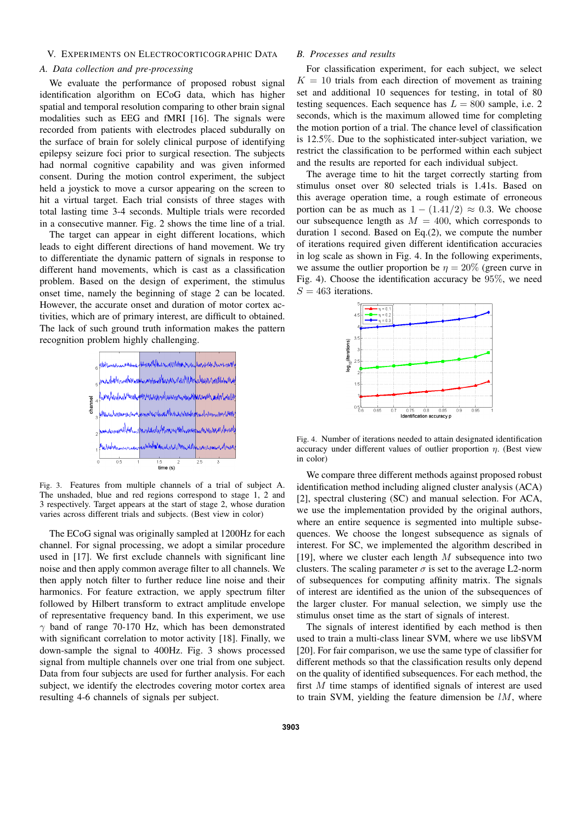# V. EXPERIMENTS ON ELECTROCORTICOGRAPHIC DATA

# *A. Data collection and pre-processing*

We evaluate the performance of proposed robust signal identification algorithm on ECoG data, which has higher spatial and temporal resolution comparing to other brain signal modalities such as EEG and fMRI [16]. The signals were recorded from patients with electrodes placed subdurally on the surface of brain for solely clinical purpose of identifying epilepsy seizure foci prior to surgical resection. The subjects had normal cognitive capability and was given informed consent. During the motion control experiment, the subject held a joystick to move a cursor appearing on the screen to hit a virtual target. Each trial consists of three stages with total lasting time 3-4 seconds. Multiple trials were recorded in a consecutive manner. Fig. 2 shows the time line of a trial.

The target can appear in eight different locations, which leads to eight different directions of hand movement. We try to differentiate the dynamic pattern of signals in response to different hand movements, which is cast as a classification problem. Based on the design of experiment, the stimulus onset time, namely the beginning of stage 2 can be located. However, the accurate onset and duration of motor cortex activities, which are of primary interest, are difficult to obtained. The lack of such ground truth information makes the pattern recognition problem highly challenging.



Fig. 3. Features from multiple channels of a trial of subject A. The unshaded, blue and red regions correspond to stage 1, 2 and 3 respectively. Target appears at the start of stage 2, whose duration varies across different trials and subjects. (Best view in color)

The ECoG signal was originally sampled at 1200Hz for each channel. For signal processing, we adopt a similar procedure used in [17]. We first exclude channels with significant line noise and then apply common average filter to all channels. We then apply notch filter to further reduce line noise and their harmonics. For feature extraction, we apply spectrum filter followed by Hilbert transform to extract amplitude envelope of representative frequency band. In this experiment, we use  $\gamma$  band of range 70-170 Hz, which has been demonstrated with significant correlation to motor activity [18]. Finally, we down-sample the signal to 400Hz. Fig. 3 shows processed signal from multiple channels over one trial from one subject. Data from four subjects are used for further analysis. For each subject, we identify the electrodes covering motor cortex area resulting 4-6 channels of signals per subject.

# *B. Processes and results*

For classification experiment, for each subject, we select  $K = 10$  trials from each direction of movement as training set and additional 10 sequences for testing, in total of 80 testing sequences. Each sequence has  $L = 800$  sample, i.e. 2 seconds, which is the maximum allowed time for completing the motion portion of a trial. The chance level of classification is 12.5%. Due to the sophisticated inter-subject variation, we restrict the classification to be performed within each subject and the results are reported for each individual subject.

The average time to hit the target correctly starting from stimulus onset over 80 selected trials is 1.41s. Based on this average operation time, a rough estimate of erroneous portion can be as much as  $1 - (1.41/2) \approx 0.3$ . We choose our subsequence length as  $M = 400$ , which corresponds to duration 1 second. Based on Eq.(2), we compute the number of iterations required given different identification accuracies in log scale as shown in Fig. 4. In the following experiments, we assume the outlier proportion be  $\eta = 20\%$  (green curve in Fig. 4). Choose the identification accuracy be 95%, we need  $S = 463$  iterations.



Fig. 4. Number of iterations needed to attain designated identification accuracy under different values of outlier proportion  $\eta$ . (Best view in color)

We compare three different methods against proposed robust identification method including aligned cluster analysis (ACA) [2], spectral clustering (SC) and manual selection. For ACA, we use the implementation provided by the original authors, where an entire sequence is segmented into multiple subsequences. We choose the longest subsequence as signals of interest. For SC, we implemented the algorithm described in [19], where we cluster each length  $M$  subsequence into two clusters. The scaling parameter  $\sigma$  is set to the average L2-norm of subsequences for computing affinity matrix. The signals of interest are identified as the union of the subsequences of the larger cluster. For manual selection, we simply use the stimulus onset time as the start of signals of interest.

The signals of interest identified by each method is then used to train a multi-class linear SVM, where we use libSVM [20]. For fair comparison, we use the same type of classifier for different methods so that the classification results only depend on the quality of identified subsequences. For each method, the first M time stamps of identified signals of interest are used to train SVM, yielding the feature dimension be  $lM$ , where